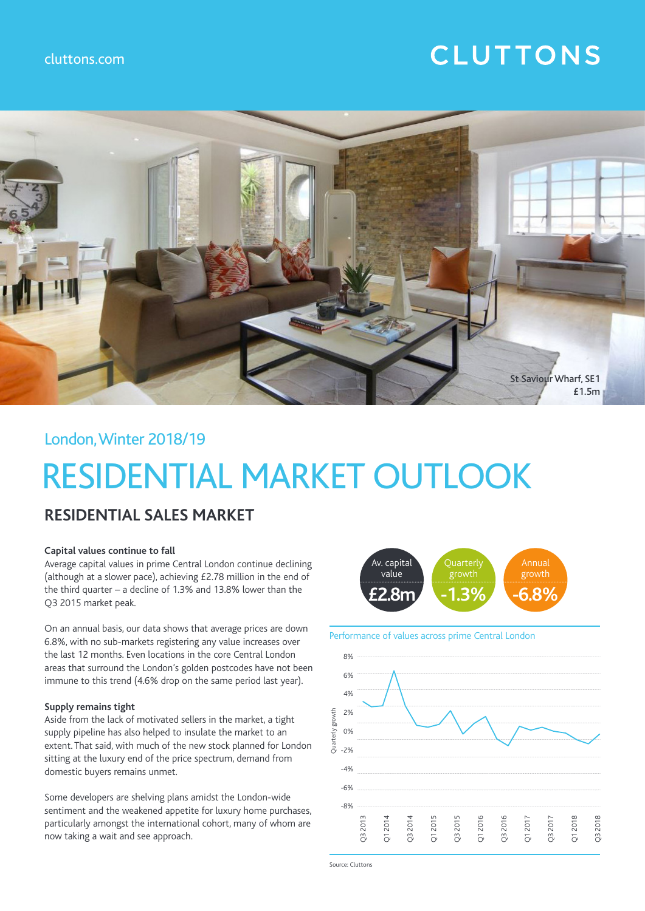### cluttons.com

## **CLUTTONS**



London, Winter 2018/19

# RESIDENTIAL MARKET OUTLOOK

### **RESIDENTIAL SALES MARKET**

### **Capital values continue to fall**

Average capital values in prime Central London continue declining (although at a slower pace), achieving £2.78 million in the end of the third quarter – a decline of 1.3% and 13.8% lower than the Q3 2015 market peak.

On an annual basis, our data shows that average prices are down 6.8%, with no sub-markets registering any value increases over the last 12 months. Even locations in the core Central London areas that surround the London's golden postcodes have not been immune to this trend (4.6% drop on the same period last year).

### **Supply remains tight**

Aside from the lack of motivated sellers in the market, a tight supply pipeline has also helped to insulate the market to an extent. That said, with much of the new stock planned for London sitting at the luxury end of the price spectrum, demand from domestic buyers remains unmet.

Some developers are shelving plans amidst the London-wide sentiment and the weakened appetite for luxury home purchases, particularly amongst the international cohort, many of whom are now taking a wait and see approach.



Performance of values across prime Central London



Source: Cluttons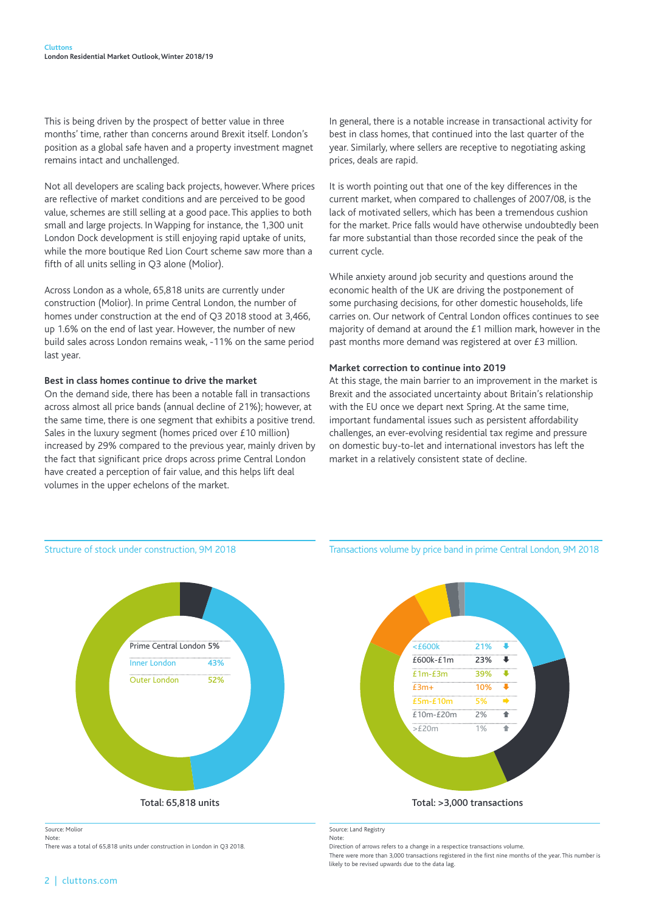This is being driven by the prospect of better value in three months' time, rather than concerns around Brexit itself. London's position as a global safe haven and a property investment magnet remains intact and unchallenged.

Not all developers are scaling back projects, however. Where prices are reflective of market conditions and are perceived to be good value, schemes are still selling at a good pace. This applies to both small and large projects. In Wapping for instance, the 1,300 unit London Dock development is still enjoying rapid uptake of units, while the more boutique Red Lion Court scheme saw more than a fifth of all units selling in Q3 alone (Molior).

Across London as a whole, 65,818 units are currently under construction (Molior). In prime Central London, the number of homes under construction at the end of Q3 2018 stood at 3,466, up 1.6% on the end of last year. However, the number of new build sales across London remains weak, -11% on the same period last year.

### **Best in class homes continue to drive the market**

On the demand side, there has been a notable fall in transactions across almost all price bands (annual decline of 21%); however, at the same time, there is one segment that exhibits a positive trend. Sales in the luxury segment (homes priced over £10 million) increased by 29% compared to the previous year, mainly driven by the fact that significant price drops across prime Central London have created a perception of fair value, and this helps lift deal volumes in the upper echelons of the market.

In general, there is a notable increase in transactional activity for best in class homes, that continued into the last quarter of the year. Similarly, where sellers are receptive to negotiating asking prices, deals are rapid.

It is worth pointing out that one of the key differences in the current market, when compared to challenges of 2007/08, is the lack of motivated sellers, which has been a tremendous cushion for the market. Price falls would have otherwise undoubtedly been far more substantial than those recorded since the peak of the current cycle.

While anxiety around job security and questions around the economic health of the UK are driving the postponement of some purchasing decisions, for other domestic households, life carries on. Our network of Central London offices continues to see majority of demand at around the £1 million mark, however in the past months more demand was registered at over £3 million.

### **Market correction to continue into 2019**

At this stage, the main barrier to an improvement in the market is Brexit and the associated uncertainty about Britain's relationship with the EU once we depart next Spring. At the same time, important fundamental issues such as persistent affordability challenges, an ever-evolving residential tax regime and pressure on domestic buy-to-let and international investors has left the market in a relatively consistent state of decline.



Source: Molior

Note: There was a total of 65,818 units under construction in London in Q3 2018. Transactions volume by price band in prime Central London, 9M 2018



Source: Land Registry

Note:

Direction of arrows refers to a change in a respectice transactions volume.

There were more than 3,000 transactions registered in the first nine months of the year. This number is likely to be revised upwards due to the data lag.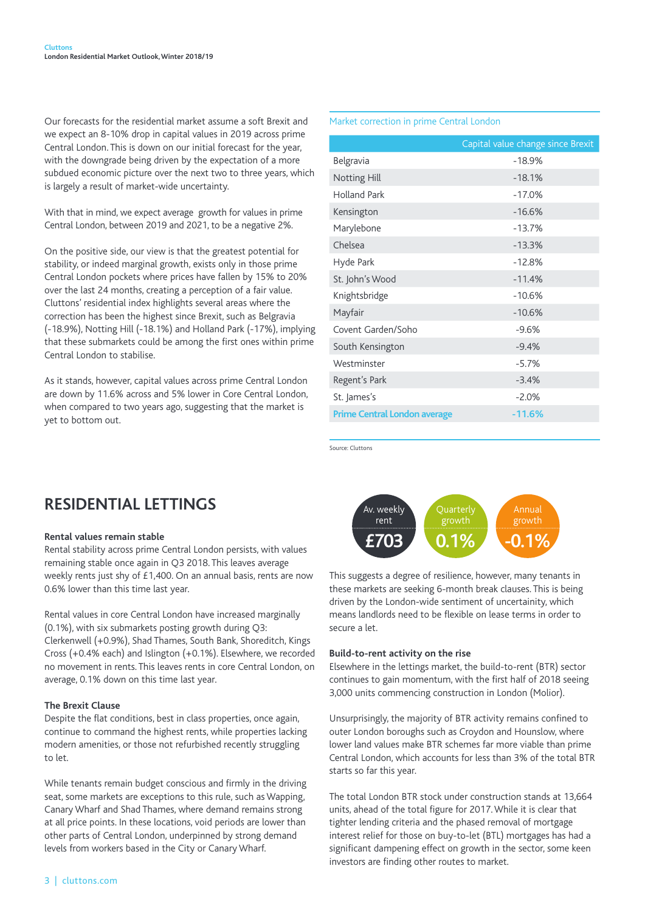Our forecasts for the residential market assume a soft Brexit and we expect an 8-10% drop in capital values in 2019 across prime Central London. This is down on our initial forecast for the year, with the downgrade being driven by the expectation of a more subdued economic picture over the next two to three years, which is largely a result of market-wide uncertainty.

With that in mind, we expect average growth for values in prime Central London, between 2019 and 2021, to be a negative 2%.

On the positive side, our view is that the greatest potential for stability, or indeed marginal growth, exists only in those prime Central London pockets where prices have fallen by 15% to 20% over the last 24 months, creating a perception of a fair value. Cluttons' residential index highlights several areas where the correction has been the highest since Brexit, such as Belgravia (-18.9%), Notting Hill (-18.1%) and Holland Park (-17%), implying that these submarkets could be among the first ones within prime Central London to stabilise.

As it stands, however, capital values across prime Central London are down by 11.6% across and 5% lower in Core Central London, when compared to two years ago, suggesting that the market is yet to bottom out.

Market correction in prime Central London

|                                     | Capital value change since Brexit |
|-------------------------------------|-----------------------------------|
| Belgravia                           | $-18.9%$                          |
| Notting Hill                        | $-18.1%$                          |
| <b>Holland Park</b>                 | $-17.0%$                          |
| Kensington                          | $-16.6%$                          |
| Marylebone                          | $-13.7%$                          |
| Chelsea                             | $-13.3%$                          |
| Hyde Park                           | $-12.8%$                          |
| St. John's Wood                     | $-11.4%$                          |
| Knightsbridge                       | $-10.6%$                          |
| Mayfair                             | $-10.6%$                          |
| Covent Garden/Soho                  | $-9.6%$                           |
| South Kensington                    | $-9.4%$                           |
| Westminster                         | $-5.7%$                           |
| Regent's Park                       | $-3.4%$                           |
| St. James's                         | $-2.0%$                           |
| <b>Prime Central London average</b> | $-11.6%$                          |

Source: Cluttons

### **RESIDENTIAL LETTINGS**

### **Rental values remain stable**

Rental stability across prime Central London persists, with values remaining stable once again in Q3 2018. This leaves average weekly rents just shy of £1,400. On an annual basis, rents are now 0.6% lower than this time last year.

Rental values in core Central London have increased marginally (0.1%), with six submarkets posting growth during Q3: Clerkenwell (+0.9%), Shad Thames, South Bank, Shoreditch, Kings Cross (+0.4% each) and Islington (+0.1%). Elsewhere, we recorded no movement in rents. This leaves rents in core Central London, on average, 0.1% down on this time last year.

### **The Brexit Clause**

Despite the flat conditions, best in class properties, once again, continue to command the highest rents, while properties lacking modern amenities, or those not refurbished recently struggling to let.

While tenants remain budget conscious and firmly in the driving seat, some markets are exceptions to this rule, such as Wapping, Canary Wharf and Shad Thames, where demand remains strong at all price points. In these locations, void periods are lower than other parts of Central London, underpinned by strong demand levels from workers based in the City or Canary Wharf.



This suggests a degree of resilience, however, many tenants in these markets are seeking 6-month break clauses. This is being driven by the London-wide sentiment of uncertainity, which means landlords need to be flexible on lease terms in order to secure a let.

### **Build-to-rent activity on the rise**

Elsewhere in the lettings market, the build-to-rent (BTR) sector continues to gain momentum, with the first half of 2018 seeing 3,000 units commencing construction in London (Molior).

Unsurprisingly, the majority of BTR activity remains confined to outer London boroughs such as Croydon and Hounslow, where lower land values make BTR schemes far more viable than prime Central London, which accounts for less than 3% of the total BTR starts so far this year.

The total London BTR stock under construction stands at 13,664 units, ahead of the total figure for 2017. While it is clear that tighter lending criteria and the phased removal of mortgage interest relief for those on buy-to-let (BTL) mortgages has had a significant dampening effect on growth in the sector, some keen investors are finding other routes to market.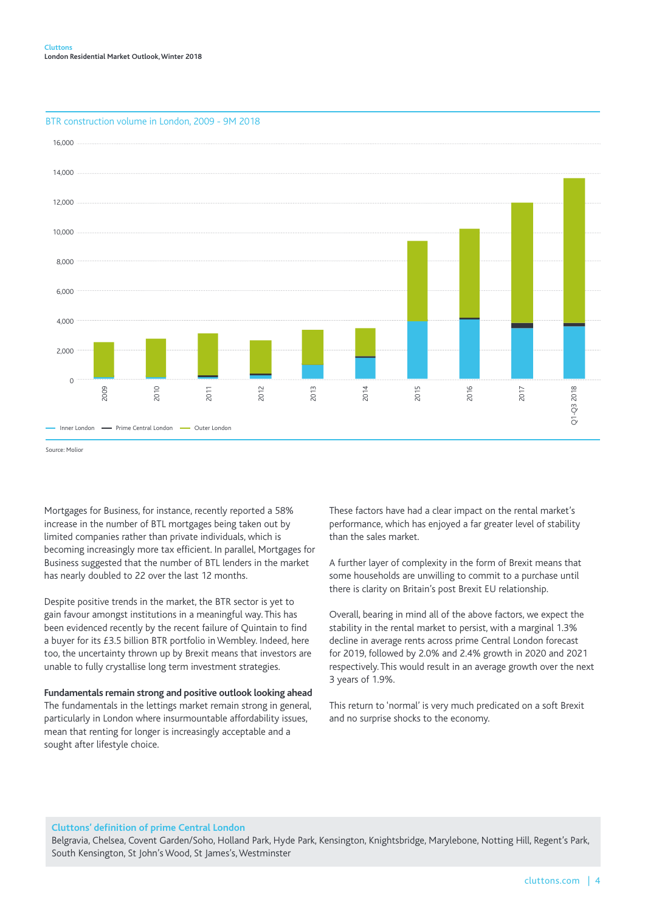

### BTR construction volume in London, 2009 - 9M 2018

Mortgages for Business, for instance, recently reported a 58% increase in the number of BTL mortgages being taken out by limited companies rather than private individuals, which is becoming increasingly more tax efficient. In parallel, Mortgages for Business suggested that the number of BTL lenders in the market has nearly doubled to 22 over the last 12 months.

Despite positive trends in the market, the BTR sector is yet to gain favour amongst institutions in a meaningful way. This has been evidenced recently by the recent failure of Quintain to find a buyer for its £3.5 billion BTR portfolio in Wembley. Indeed, here too, the uncertainty thrown up by Brexit means that investors are unable to fully crystallise long term investment strategies.

### **Fundamentals remain strong and positive outlook looking ahead**

The fundamentals in the lettings market remain strong in general, particularly in London where insurmountable affordability issues, mean that renting for longer is increasingly acceptable and a sought after lifestyle choice.

These factors have had a clear impact on the rental market's performance, which has enjoyed a far greater level of stability than the sales market.

A further layer of complexity in the form of Brexit means that some households are unwilling to commit to a purchase until there is clarity on Britain's post Brexit EU relationship.

Overall, bearing in mind all of the above factors, we expect the stability in the rental market to persist, with a marginal 1.3% decline in average rents across prime Central London forecast for 2019, followed by 2.0% and 2.4% growth in 2020 and 2021 respectively. This would result in an average growth over the next 3 years of 1.9%.

This return to 'normal' is very much predicated on a soft Brexit and no surprise shocks to the economy.

### **Cluttons' definition of prime Central London**

Belgravia, Chelsea, Covent Garden/Soho, Holland Park, Hyde Park, Kensington, Knightsbridge, Marylebone, Notting Hill, Regent's Park, South Kensington, St John's Wood, St James's, Westminster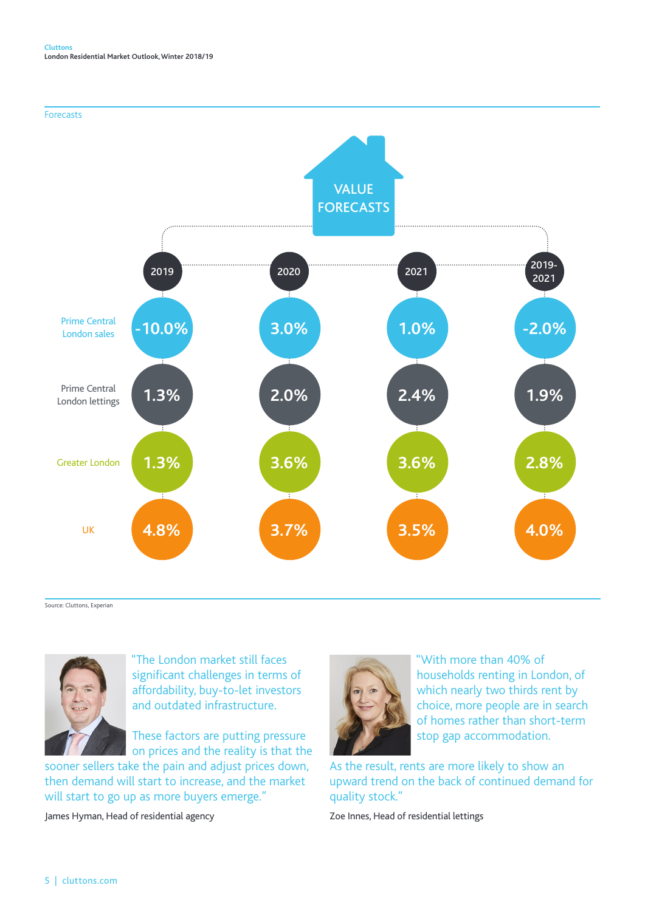



Source: Cluttons, Experian



"The London market still faces significant challenges in terms of affordability, buy-to-let investors and outdated infrastructure.

These factors are putting pressure on prices and the reality is that the

sooner sellers take the pain and adjust prices down, then demand will start to increase, and the market will start to go up as more buyers emerge."

James Hyman, Head of residential agency



"With more than 40% of households renting in London, of which nearly two thirds rent by choice, more people are in search of homes rather than short-term stop gap accommodation.

As the result, rents are more likely to show an upward trend on the back of continued demand for quality stock."

Zoe Innes, Head of residential lettings